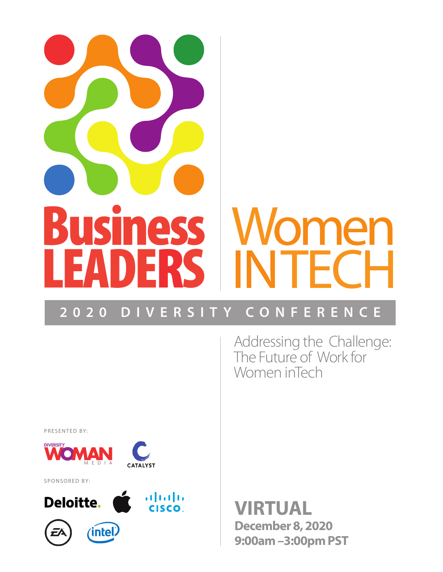# **Business**<br>LEANERS LEADERS omen INTECH

# **2020 DIVERSITY CONFERENCE**

Addressing the Challenge: The Future of Work for Women inTech

PRESENTED BY:



SPONSORED BY:



**VIRTUAL December 8, 2020 9:00am –3:00pm PST**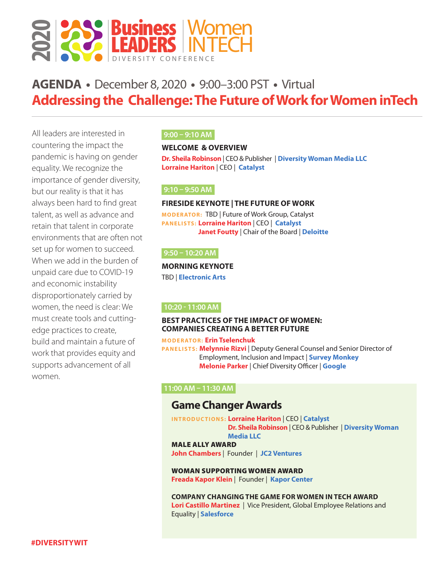

# **AGENDA •** December 8, 2020 **•** 9:00–3:00 PST **•** Virtual **Addressing the Challenge: The Future of Work for Women inTech**

All leaders are interested in countering the impact the pandemic is having on gender equality. We recognize the importance of gender diversity, but our reality is that it has always been hard to find great talent, as well as advance and retain that talent in corporate environments that are often not set up for women to succeed. When we add in the burden of unpaid care due to COVID-19 and economic instability disproportionately carried by women, the need is clear: We must create tools and cuttingedge practices to create, build and maintain a future of work that provides equity and supports advancement of all women.

### **9:00 – 9:10 AM**

### **WELCOME & OVERVIEW**

**Dr. Sheila Robinson** | CEO & Publisher | **Diversity Woman Media LLC Lorraine Hariton** | CEO | **Catalyst**

### **9:10 – 9:50 AM**

### **FIRESIDE KEYNOTE | THE FUTURE OF WORK**

**MODER ATOR:** TBD | Future of Work Group, Catalyst **PANELISTS: Lorraine Hariton** | CEO | **Catalyst Janet Foutty** | Chair of the Board | **Deloitte**

### **9:50 – 10:20 AM**

**MORNING KEYNOTE** 

TBD | **Electronic Arts**

### **10:20 - 11:00 AM**

### **BEST PRACTICES OF THE IMPACT OF WOMEN: COMPANIES CREATING A BETTER FUTURE**

**MODERATOR: Erin Tselenchuk PANELISTS: Melynnie Rizvi** | Deputy General Counsel and Senior Director of Employment, Inclusion and Impact | **Survey Monkey Melonie Parker** | Chief Diversity Officer | **Google**

### **11:00 AM – 11:30 AM**

## **Game Changer Awards**

**INTRODUCTIONS: Lorraine Hariton** | CEO | **Catalyst Dr. Sheila Robinson** | CEO & Publisher | **Diversity Woman Media LLC** MALE ALLY AWARD **John Chambers** | Founder | **JC2 Ventures**

WOMAN SUPPORTING WOMEN AWARD **Freada Kapor Klein** | Founder | **Kapor Center**

**COMPANY CHANGING THE GAME FOR WOMEN IN TECH AWARD Lori Castillo Martinez** | Vice President, Global Employee Relations and Equality | **Salesforce**